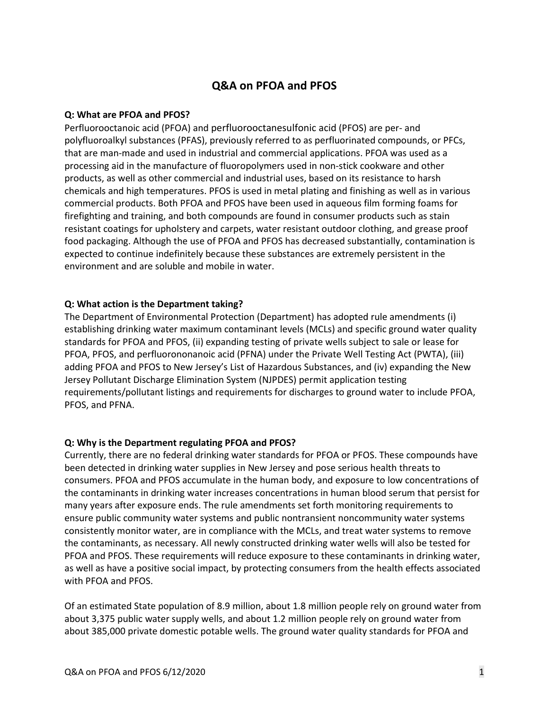# **Q&A on PFOA and PFOS**

#### **Q: What are PFOA and PFOS?**

Perfluorooctanoic acid (PFOA) and perfluorooctanesulfonic acid (PFOS) are per- and polyfluoroalkyl substances (PFAS), previously referred to as perfluorinated compounds, or PFCs, that are man-made and used in industrial and commercial applications. PFOA was used as a processing aid in the manufacture of fluoropolymers used in non-stick cookware and other products, as well as other commercial and industrial uses, based on its resistance to harsh chemicals and high temperatures. PFOS is used in metal plating and finishing as well as in various commercial products. Both PFOA and PFOS have been used in aqueous film forming foams for firefighting and training, and both compounds are found in consumer products such as stain resistant coatings for upholstery and carpets, water resistant outdoor clothing, and grease proof food packaging. Although the use of PFOA and PFOS has decreased substantially, contamination is expected to continue indefinitely because these substances are extremely persistent in the environment and are soluble and mobile in water.

#### **Q: What action is the Department taking?**

The Department of Environmental Protection (Department) has adopted rule amendments (i) establishing drinking water maximum contaminant levels (MCLs) and specific ground water quality standards for PFOA and PFOS, (ii) expanding testing of private wells subject to sale or lease for PFOA, PFOS, and perfluorononanoic acid (PFNA) under the Private Well Testing Act (PWTA), (iii) adding PFOA and PFOS to New Jersey's List of Hazardous Substances, and (iv) expanding the New Jersey Pollutant Discharge Elimination System (NJPDES) permit application testing requirements/pollutant listings and requirements for discharges to ground water to include PFOA, PFOS, and PFNA.

#### **Q: Why is the Department regulating PFOA and PFOS?**

Currently, there are no federal drinking water standards for PFOA or PFOS. These compounds have been detected in drinking water supplies in New Jersey and pose serious health threats to consumers. PFOA and PFOS accumulate in the human body, and exposure to low concentrations of the contaminants in drinking water increases concentrations in human blood serum that persist for many years after exposure ends. The rule amendments set forth monitoring requirements to ensure public community water systems and public nontransient noncommunity water systems consistently monitor water, are in compliance with the MCLs, and treat water systems to remove the contaminants, as necessary. All newly constructed drinking water wells will also be tested for PFOA and PFOS. These requirements will reduce exposure to these contaminants in drinking water, as well as have a positive social impact, by protecting consumers from the health effects associated with PFOA and PFOS.

Of an estimated State population of 8.9 million, about 1.8 million people rely on ground water from about 3,375 public water supply wells, and about 1.2 million people rely on ground water from about 385,000 private domestic potable wells. The ground water quality standards for PFOA and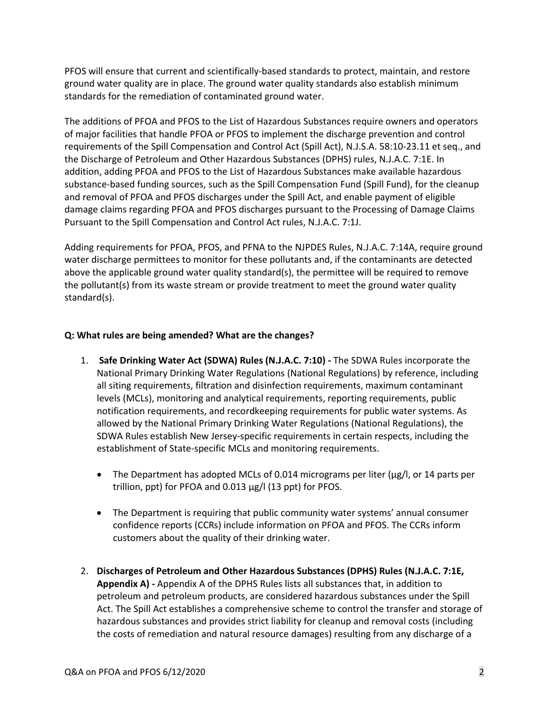PFOS will ensure that current and scientifically-based standards to protect, maintain, and restore ground water quality are in place. The ground water quality standards also establish minimum standards for the remediation of contaminated ground water.

The additions of PFOA and PFOS to the List of Hazardous Substances require owners and operators of major facilities that handle PFOA or PFOS to implement the discharge prevention and control requirements of the Spill Compensation and Control Act (Spill Act), N.J.S.A. 58:10-23.11 et seq., and the Discharge of Petroleum and Other Hazardous Substances (DPHS) rules, N.J.A.C. 7:1E. In addition, adding PFOA and PFOS to the List of Hazardous Substances make available hazardous substance-based funding sources, such as the Spill Compensation Fund (Spill Fund), for the cleanup and removal of PFOA and PFOS discharges under the Spill Act, and enable payment of eligible damage claims regarding PFOA and PFOS discharges pursuant to the Processing of Damage Claims Pursuant to the Spill Compensation and Control Act rules, N.J.A.C. 7:1J.

Adding requirements for PFOA, PFOS, and PFNA to the NJPDES Rules, N.J.A.C. 7:14A, require ground water discharge permittees to monitor for these pollutants and, if the contaminants are detected above the applicable ground water quality standard(s), the permittee will be required to remove the pollutant(s) from its waste stream or provide treatment to meet the ground water quality standard(s).

## **Q: What rules are being amended? What are the changes?**

- 1. **Safe Drinking Water Act (SDWA) Rules (N.J.A.C. 7:10) -** The SDWA Rules incorporate the National Primary Drinking Water Regulations (National Regulations) by reference, including all siting requirements, filtration and disinfection requirements, maximum contaminant levels (MCLs), monitoring and analytical requirements, reporting requirements, public notification requirements, and recordkeeping requirements for public water systems. As allowed by the National Primary Drinking Water Regulations (National Regulations), the SDWA Rules establish New Jersey-specific requirements in certain respects, including the establishment of State-specific MCLs and monitoring requirements.
	- The Department has adopted MCLs of 0.014 micrograms per liter (μg/l, or 14 parts per trillion, ppt) for PFOA and 0.013 μg/l (13 ppt) for PFOS.
	- The Department is requiring that public community water systems' annual consumer confidence reports (CCRs) include information on PFOA and PFOS. The CCRs inform customers about the quality of their drinking water.
- 2. **Discharges of Petroleum and Other Hazardous Substances (DPHS) Rules (N.J.A.C. 7:1E, Appendix A) -** Appendix A of the DPHS Rules lists all substances that, in addition to petroleum and petroleum products, are considered hazardous substances under the Spill Act. The Spill Act establishes a comprehensive scheme to control the transfer and storage of hazardous substances and provides strict liability for cleanup and removal costs (including the costs of remediation and natural resource damages) resulting from any discharge of a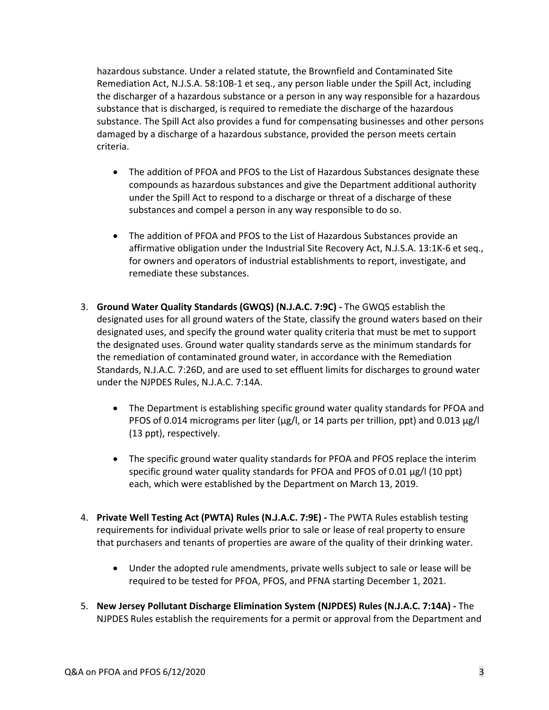hazardous substance. Under a related statute, the Brownfield and Contaminated Site Remediation Act, N.J.S.A. 58:10B-1 et seq., any person liable under the Spill Act, including the discharger of a hazardous substance or a person in any way responsible for a hazardous substance that is discharged, is required to remediate the discharge of the hazardous substance. The Spill Act also provides a fund for compensating businesses and other persons damaged by a discharge of a hazardous substance, provided the person meets certain criteria.

- The addition of PFOA and PFOS to the List of Hazardous Substances designate these compounds as hazardous substances and give the Department additional authority under the Spill Act to respond to a discharge or threat of a discharge of these substances and compel a person in any way responsible to do so.
- The addition of PFOA and PFOS to the List of Hazardous Substances provide an affirmative obligation under the Industrial Site Recovery Act, N.J.S.A. 13:1K-6 et seq., for owners and operators of industrial establishments to report, investigate, and remediate these substances.
- 3. **Ground Water Quality Standards (GWQS) (N.J.A.C. 7:9C) -** The GWQS establish the designated uses for all ground waters of the State, classify the ground waters based on their designated uses, and specify the ground water quality criteria that must be met to support the designated uses. Ground water quality standards serve as the minimum standards for the remediation of contaminated ground water, in accordance with the Remediation Standards, N.J.A.C. 7:26D, and are used to set effluent limits for discharges to ground water under the NJPDES Rules, N.J.A.C. 7:14A.
	- The Department is establishing specific ground water quality standards for PFOA and PFOS of 0.014 micrograms per liter (μg/l, or 14 parts per trillion, ppt) and 0.013 μg/l (13 ppt), respectively.
	- The specific ground water quality standards for PFOA and PFOS replace the interim specific ground water quality standards for PFOA and PFOS of 0.01 μg/l (10 ppt) each, which were established by the Department on March 13, 2019.
- 4. **Private Well Testing Act (PWTA) Rules (N.J.A.C. 7:9E) -** The PWTA Rules establish testing requirements for individual private wells prior to sale or lease of real property to ensure that purchasers and tenants of properties are aware of the quality of their drinking water.
	- Under the adopted rule amendments, private wells subject to sale or lease will be required to be tested for PFOA, PFOS, and PFNA starting December 1, 2021.
- 5. **New Jersey Pollutant Discharge Elimination System (NJPDES) Rules (N.J.A.C. 7:14A) -** The NJPDES Rules establish the requirements for a permit or approval from the Department and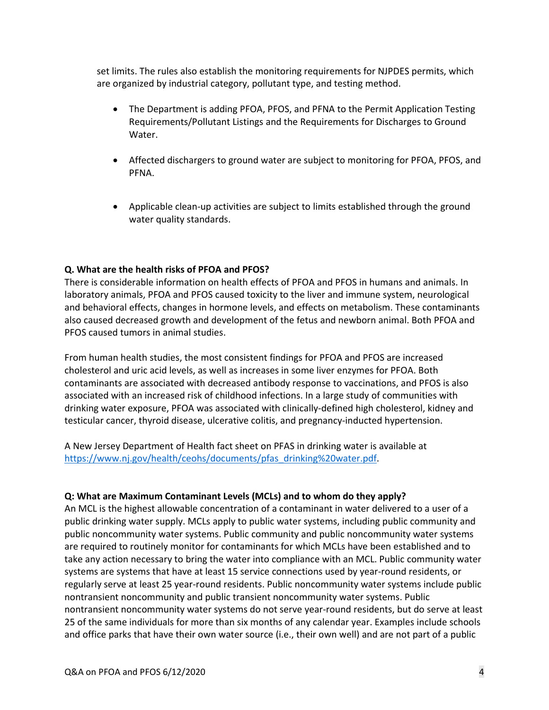set limits. The rules also establish the monitoring requirements for NJPDES permits, which are organized by industrial category, pollutant type, and testing method.

- The Department is adding PFOA, PFOS, and PFNA to the Permit Application Testing Requirements/Pollutant Listings and the Requirements for Discharges to Ground Water.
- Affected dischargers to ground water are subject to monitoring for PFOA, PFOS, and PFNA.
- Applicable clean-up activities are subject to limits established through the ground water quality standards.

### **Q. What are the health risks of PFOA and PFOS?**

There is considerable information on health effects of PFOA and PFOS in humans and animals. In laboratory animals, PFOA and PFOS caused toxicity to the liver and immune system, neurological and behavioral effects, changes in hormone levels, and effects on metabolism. These contaminants also caused decreased growth and development of the fetus and newborn animal. Both PFOA and PFOS caused tumors in animal studies.

From human health studies, the most consistent findings for PFOA and PFOS are increased cholesterol and uric acid levels, as well as increases in some liver enzymes for PFOA. Both contaminants are associated with decreased antibody response to vaccinations, and PFOS is also associated with an increased risk of childhood infections. In a large study of communities with drinking water exposure, PFOA was associated with clinically-defined high cholesterol, kidney and testicular cancer, thyroid disease, ulcerative colitis, and pregnancy-inducted hypertension.

A New Jersey Department of Health fact sheet on PFAS in drinking water is available at [https://www.nj.gov/health/ceohs/documents/pfas\\_drinking%20water.pdf.](https://www.nj.gov/health/ceohs/documents/pfas_drinking%20water.pdf)

### **Q: What are Maximum Contaminant Levels (MCLs) and to whom do they apply?**

An MCL is the highest allowable concentration of a contaminant in water delivered to a user of a public drinking water supply. MCLs apply to public water systems, including public community and public noncommunity water systems. Public community and public noncommunity water systems are required to routinely monitor for contaminants for which MCLs have been established and to take any action necessary to bring the water into compliance with an MCL. Public community water systems are systems that have at least 15 service connections used by year-round residents, or regularly serve at least 25 year-round residents. Public noncommunity water systems include public nontransient noncommunity and public transient noncommunity water systems. Public nontransient noncommunity water systems do not serve year-round residents, but do serve at least 25 of the same individuals for more than six months of any calendar year. Examples include schools and office parks that have their own water source (i.e., their own well) and are not part of a public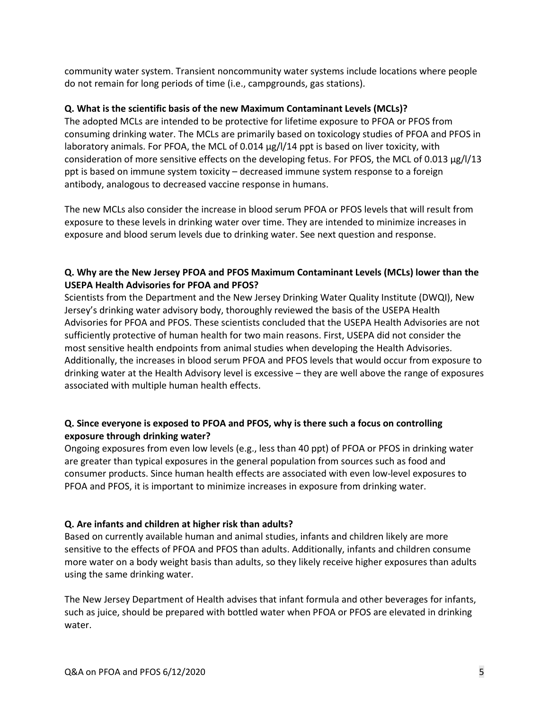community water system. Transient noncommunity water systems include locations where people do not remain for long periods of time (i.e., campgrounds, gas stations).

## **Q. What is the scientific basis of the new Maximum Contaminant Levels (MCLs)?**

The adopted MCLs are intended to be protective for lifetime exposure to PFOA or PFOS from consuming drinking water. The MCLs are primarily based on toxicology studies of PFOA and PFOS in laboratory animals. For PFOA, the MCL of 0.014 μg/l/14 ppt is based on liver toxicity, with consideration of more sensitive effects on the developing fetus. For PFOS, the MCL of 0.013 μg/l/13 ppt is based on immune system toxicity – decreased immune system response to a foreign antibody, analogous to decreased vaccine response in humans.

The new MCLs also consider the increase in blood serum PFOA or PFOS levels that will result from exposure to these levels in drinking water over time. They are intended to minimize increases in exposure and blood serum levels due to drinking water. See next question and response.

## **Q. Why are the New Jersey PFOA and PFOS Maximum Contaminant Levels (MCLs) lower than the USEPA Health Advisories for PFOA and PFOS?**

Scientists from the Department and the New Jersey Drinking Water Quality Institute (DWQI), New Jersey's drinking water advisory body, thoroughly reviewed the basis of the USEPA Health Advisories for PFOA and PFOS. These scientists concluded that the USEPA Health Advisories are not sufficiently protective of human health for two main reasons. First, USEPA did not consider the most sensitive health endpoints from animal studies when developing the Health Advisories. Additionally, the increases in blood serum PFOA and PFOS levels that would occur from exposure to drinking water at the Health Advisory level is excessive – they are well above the range of exposures associated with multiple human health effects.

# **Q. Since everyone is exposed to PFOA and PFOS, why is there such a focus on controlling exposure through drinking water?**

Ongoing exposures from even low levels (e.g., less than 40 ppt) of PFOA or PFOS in drinking water are greater than typical exposures in the general population from sources such as food and consumer products. Since human health effects are associated with even low-level exposures to PFOA and PFOS, it is important to minimize increases in exposure from drinking water.

### **Q. Are infants and children at higher risk than adults?**

Based on currently available human and animal studies, infants and children likely are more sensitive to the effects of PFOA and PFOS than adults. Additionally, infants and children consume more water on a body weight basis than adults, so they likely receive higher exposures than adults using the same drinking water.

The New Jersey Department of Health advises that infant formula and other beverages for infants, such as juice, should be prepared with bottled water when PFOA or PFOS are elevated in drinking water.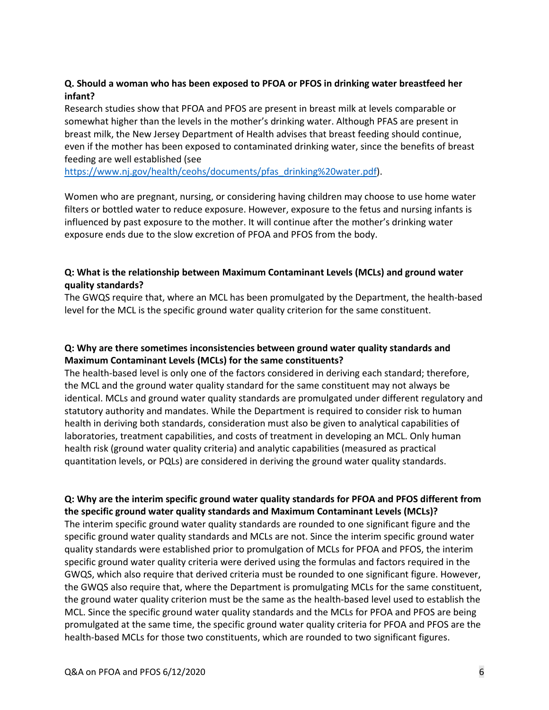## **Q. Should a woman who has been exposed to PFOA or PFOS in drinking water breastfeed her infant?**

Research studies show that PFOA and PFOS are present in breast milk at levels comparable or somewhat higher than the levels in the mother's drinking water. Although PFAS are present in breast milk, the New Jersey Department of Health advises that breast feeding should continue, even if the mother has been exposed to contaminated drinking water, since the benefits of breast feeding are well established (see

[https://www.nj.gov/health/ceohs/documents/pfas\\_drinking%20water.pdf\)](https://www.nj.gov/health/ceohs/documents/pfas_drinking%20water.pdf).

Women who are pregnant, nursing, or considering having children may choose to use home water filters or bottled water to reduce exposure. However, exposure to the fetus and nursing infants is influenced by past exposure to the mother. It will continue after the mother's drinking water exposure ends due to the slow excretion of PFOA and PFOS from the body.

## **Q: What is the relationship between Maximum Contaminant Levels (MCLs) and ground water quality standards?**

The GWQS require that, where an MCL has been promulgated by the Department, the health-based level for the MCL is the specific ground water quality criterion for the same constituent.

## **Q: Why are there sometimes inconsistencies between ground water quality standards and Maximum Contaminant Levels (MCLs) for the same constituents?**

The health-based level is only one of the factors considered in deriving each standard; therefore, the MCL and the ground water quality standard for the same constituent may not always be identical. MCLs and ground water quality standards are promulgated under different regulatory and statutory authority and mandates. While the Department is required to consider risk to human health in deriving both standards, consideration must also be given to analytical capabilities of laboratories, treatment capabilities, and costs of treatment in developing an MCL. Only human health risk (ground water quality criteria) and analytic capabilities (measured as practical quantitation levels, or PQLs) are considered in deriving the ground water quality standards.

## **Q: Why are the interim specific ground water quality standards for PFOA and PFOS different from the specific ground water quality standards and Maximum Contaminant Levels (MCLs)?**

The interim specific ground water quality standards are rounded to one significant figure and the specific ground water quality standards and MCLs are not. Since the interim specific ground water quality standards were established prior to promulgation of MCLs for PFOA and PFOS, the interim specific ground water quality criteria were derived using the formulas and factors required in the GWQS, which also require that derived criteria must be rounded to one significant figure. However, the GWQS also require that, where the Department is promulgating MCLs for the same constituent, the ground water quality criterion must be the same as the health-based level used to establish the MCL. Since the specific ground water quality standards and the MCLs for PFOA and PFOS are being promulgated at the same time, the specific ground water quality criteria for PFOA and PFOS are the health-based MCLs for those two constituents, which are rounded to two significant figures.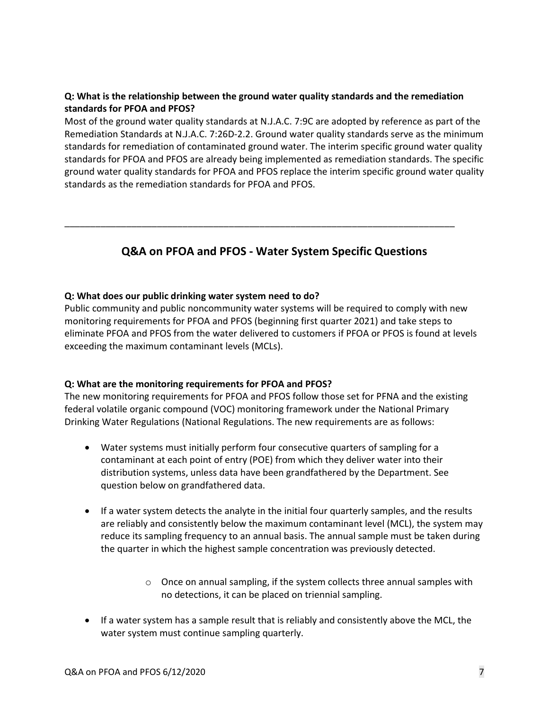## **Q: What is the relationship between the ground water quality standards and the remediation standards for PFOA and PFOS?**

Most of the ground water quality standards at N.J.A.C. 7:9C are adopted by reference as part of the Remediation Standards at N.J.A.C. 7:26D-2.2. Ground water quality standards serve as the minimum standards for remediation of contaminated ground water. The interim specific ground water quality standards for PFOA and PFOS are already being implemented as remediation standards. The specific ground water quality standards for PFOA and PFOS replace the interim specific ground water quality standards as the remediation standards for PFOA and PFOS.

# **Q&A on PFOA and PFOS - Water System Specific Questions**

\_\_\_\_\_\_\_\_\_\_\_\_\_\_\_\_\_\_\_\_\_\_\_\_\_\_\_\_\_\_\_\_\_\_\_\_\_\_\_\_\_\_\_\_\_\_\_\_\_\_\_\_\_\_\_\_\_\_\_\_\_\_\_\_\_\_\_\_\_\_\_\_\_\_\_\_

### **Q: What does our public drinking water system need to do?**

Public community and public noncommunity water systems will be required to comply with new monitoring requirements for PFOA and PFOS (beginning first quarter 2021) and take steps to eliminate PFOA and PFOS from the water delivered to customers if PFOA or PFOS is found at levels exceeding the maximum contaminant levels (MCLs).

### **Q: What are the monitoring requirements for PFOA and PFOS?**

The new monitoring requirements for PFOA and PFOS follow those set for PFNA and the existing federal volatile organic compound (VOC) monitoring framework under the National Primary Drinking Water Regulations (National Regulations. The new requirements are as follows:

- Water systems must initially perform four consecutive quarters of sampling for a contaminant at each point of entry (POE) from which they deliver water into their distribution systems, unless data have been grandfathered by the Department. See question below on grandfathered data.
- If a water system detects the analyte in the initial four quarterly samples, and the results are reliably and consistently below the maximum contaminant level (MCL), the system may reduce its sampling frequency to an annual basis. The annual sample must be taken during the quarter in which the highest sample concentration was previously detected.
	- $\circ$  Once on annual sampling, if the system collects three annual samples with no detections, it can be placed on triennial sampling.
- If a water system has a sample result that is reliably and consistently above the MCL, the water system must continue sampling quarterly.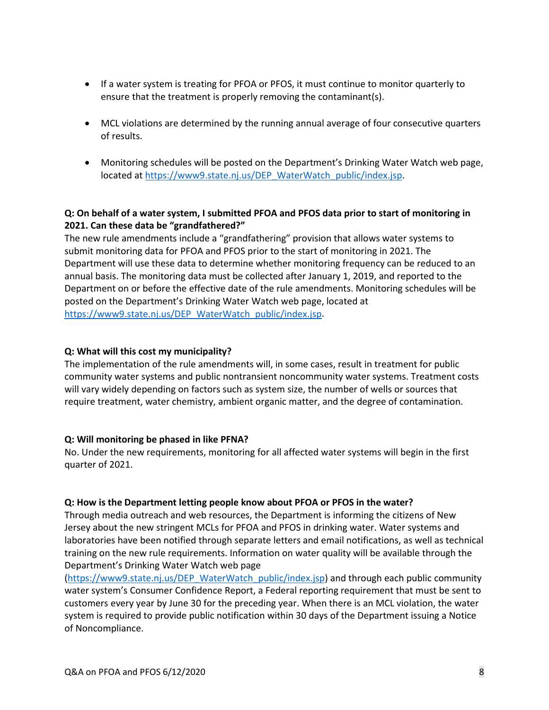- If a water system is treating for PFOA or PFOS, it must continue to monitor quarterly to ensure that the treatment is properly removing the contaminant(s).
- MCL violations are determined by the running annual average of four consecutive quarters of results.
- Monitoring schedules will be posted on the Department's Drinking Water Watch web page, located at [https://www9.state.nj.us/DEP\\_WaterWatch\\_public/index.jsp.](https://www9.state.nj.us/DEP_WaterWatch_public/index.jsp)

## **Q: On behalf of a water system, I submitted PFOA and PFOS data prior to start of monitoring in 2021. Can these data be "grandfathered?"**

The new rule amendments include a "grandfathering" provision that allows water systems to submit monitoring data for PFOA and PFOS prior to the start of monitoring in 2021. The Department will use these data to determine whether monitoring frequency can be reduced to an annual basis. The monitoring data must be collected after January 1, 2019, and reported to the Department on or before the effective date of the rule amendments. Monitoring schedules will be posted on the Department's Drinking Water Watch web page, located at [https://www9.state.nj.us/DEP\\_WaterWatch\\_public/index.jsp.](https://www9.state.nj.us/DEP_WaterWatch_public/index.jsp)

### **Q: What will this cost my municipality?**

The implementation of the rule amendments will, in some cases, result in treatment for public community water systems and public nontransient noncommunity water systems. Treatment costs will vary widely depending on factors such as system size, the number of wells or sources that require treatment, water chemistry, ambient organic matter, and the degree of contamination.

### **Q: Will monitoring be phased in like PFNA?**

No. Under the new requirements, monitoring for all affected water systems will begin in the first quarter of 2021.

#### **Q: How is the Department letting people know about PFOA or PFOS in the water?**

Through media outreach and web resources, the Department is informing the citizens of New Jersey about the new stringent MCLs for PFOA and PFOS in drinking water. Water systems and laboratories have been notified through separate letters and email notifications, as well as technical training on the new rule requirements. Information on water quality will be available through the Department's Drinking Water Watch web page

[\(https://www9.state.nj.us/DEP\\_WaterWatch\\_public/index.jsp\)](https://www9.state.nj.us/DEP_WaterWatch_public/index.jsp) and through each public community water system's Consumer Confidence Report, a Federal reporting requirement that must be sent to customers every year by June 30 for the preceding year. When there is an MCL violation, the water system is required to provide public notification within 30 days of the Department issuing a Notice of Noncompliance.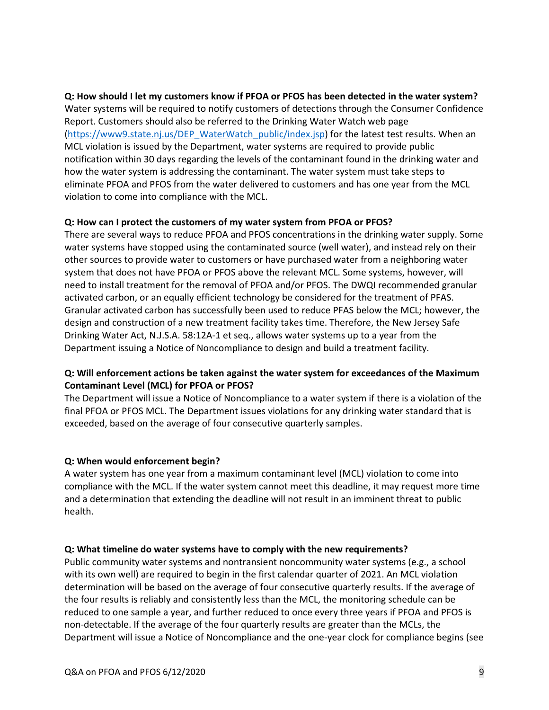#### **Q: How should I let my customers know if PFOA or PFOS has been detected in the water system?**

Water systems will be required to notify customers of detections through the Consumer Confidence Report. Customers should also be referred to the Drinking Water Watch web page [\(https://www9.state.nj.us/DEP\\_WaterWatch\\_public/index.jsp\)](https://www9.state.nj.us/DEP_WaterWatch_public/index.jsp) for the latest test results. When an MCL violation is issued by the Department, water systems are required to provide public notification within 30 days regarding the levels of the contaminant found in the drinking water and how the water system is addressing the contaminant. The water system must take steps to eliminate PFOA and PFOS from the water delivered to customers and has one year from the MCL violation to come into compliance with the MCL.

### **Q: How can I protect the customers of my water system from PFOA or PFOS?**

There are several ways to reduce PFOA and PFOS concentrations in the drinking water supply. Some water systems have stopped using the contaminated source (well water), and instead rely on their other sources to provide water to customers or have purchased water from a neighboring water system that does not have PFOA or PFOS above the relevant MCL. Some systems, however, will need to install treatment for the removal of PFOA and/or PFOS. The DWQI recommended granular activated carbon, or an equally efficient technology be considered for the treatment of PFAS. Granular activated carbon has successfully been used to reduce PFAS below the MCL; however, the design and construction of a new treatment facility takes time. Therefore, the New Jersey Safe Drinking Water Act, N.J.S.A. 58:12A-1 et seq., allows water systems up to a year from the Department issuing a Notice of Noncompliance to design and build a treatment facility.

## **Q: Will enforcement actions be taken against the water system for exceedances of the Maximum Contaminant Level (MCL) for PFOA or PFOS?**

The Department will issue a Notice of Noncompliance to a water system if there is a violation of the final PFOA or PFOS MCL. The Department issues violations for any drinking water standard that is exceeded, based on the average of four consecutive quarterly samples.

### **Q: When would enforcement begin?**

A water system has one year from a maximum contaminant level (MCL) violation to come into compliance with the MCL. If the water system cannot meet this deadline, it may request more time and a determination that extending the deadline will not result in an imminent threat to public health.

#### **Q: What timeline do water systems have to comply with the new requirements?**

Public community water systems and nontransient noncommunity water systems (e.g., a school with its own well) are required to begin in the first calendar quarter of 2021. An MCL violation determination will be based on the average of four consecutive quarterly results. If the average of the four results is reliably and consistently less than the MCL, the monitoring schedule can be reduced to one sample a year, and further reduced to once every three years if PFOA and PFOS is non-detectable. If the average of the four quarterly results are greater than the MCLs, the Department will issue a Notice of Noncompliance and the one-year clock for compliance begins (see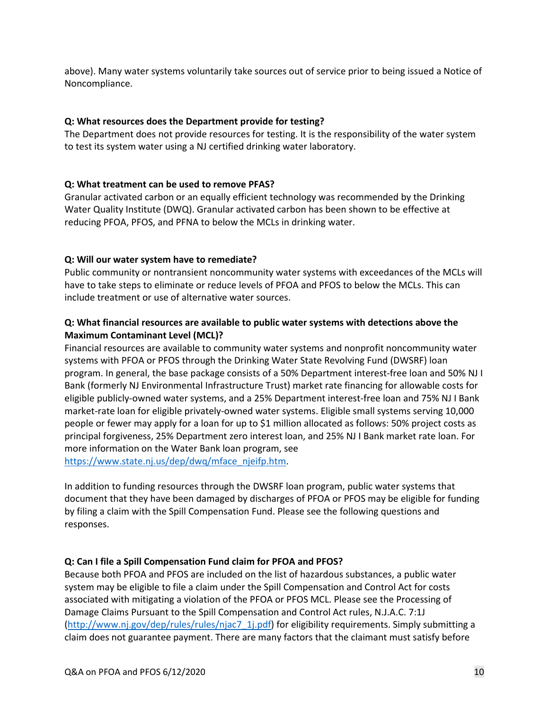above). Many water systems voluntarily take sources out of service prior to being issued a Notice of Noncompliance.

## **Q: What resources does the Department provide for testing?**

The Department does not provide resources for testing. It is the responsibility of the water system to test its system water using a NJ certified drinking water laboratory.

## **Q: What treatment can be used to remove PFAS?**

Granular activated carbon or an equally efficient technology was recommended by the Drinking Water Quality Institute (DWQ). Granular activated carbon has been shown to be effective at reducing PFOA, PFOS, and PFNA to below the MCLs in drinking water.

## **Q: Will our water system have to remediate?**

Public community or nontransient noncommunity water systems with exceedances of the MCLs will have to take steps to eliminate or reduce levels of PFOA and PFOS to below the MCLs. This can include treatment or use of alternative water sources.

## **Q: What financial resources are available to public water systems with detections above the Maximum Contaminant Level (MCL)?**

Financial resources are available to community water systems and nonprofit noncommunity water systems with PFOA or PFOS through the Drinking Water State Revolving Fund (DWSRF) loan program. In general, the base package consists of a 50% Department interest-free loan and 50% NJ I Bank (formerly NJ Environmental Infrastructure Trust) market rate financing for allowable costs for eligible publicly-owned water systems, and a 25% Department interest-free loan and 75% NJ I Bank market-rate loan for eligible privately-owned water systems. Eligible small systems serving 10,000 people or fewer may apply for a loan for up to \$1 million allocated as follows: 50% project costs as principal forgiveness, 25% Department zero interest loan, and 25% NJ I Bank market rate loan. For more information on the Water Bank loan program, see [https://www.state.nj.us/dep/dwq/mface\\_njeifp.htm.](https://www.state.nj.us/dep/dwq/mface_njeifp.htm)

In addition to funding resources through the DWSRF loan program, public water systems that document that they have been damaged by discharges of PFOA or PFOS may be eligible for funding by filing a claim with the Spill Compensation Fund. Please see the following questions and responses.

# **Q: Can I file a Spill Compensation Fund claim for PFOA and PFOS?**

Because both PFOA and PFOS are included on the list of hazardous substances, a public water system may be eligible to file a claim under the Spill Compensation and Control Act for costs associated with mitigating a violation of the PFOA or PFOS MCL. Please see the Processing of Damage Claims Pursuant to the Spill Compensation and Control Act rules, N.J.A.C. 7:1J [\(http://www.nj.gov/dep/rules/rules/njac7\\_1j.pdf\)](http://www.nj.gov/dep/rules/rules/njac7_1j.pdf) for eligibility requirements. Simply submitting a claim does not guarantee payment. There are many factors that the claimant must satisfy before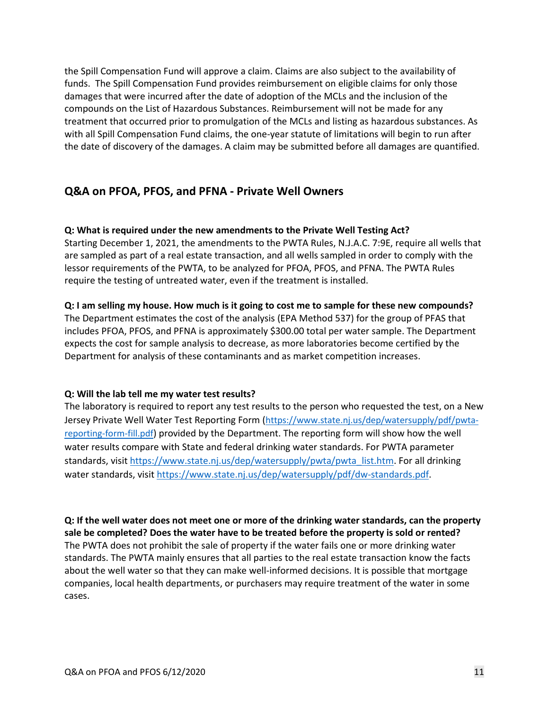the Spill Compensation Fund will approve a claim. Claims are also subject to the availability of funds. The Spill Compensation Fund provides reimbursement on eligible claims for only those damages that were incurred after the date of adoption of the MCLs and the inclusion of the compounds on the List of Hazardous Substances. Reimbursement will not be made for any treatment that occurred prior to promulgation of the MCLs and listing as hazardous substances. As with all Spill Compensation Fund claims, the one-year statute of limitations will begin to run after the date of discovery of the damages. A claim may be submitted before all damages are quantified.

# **Q&A on PFOA, PFOS, and PFNA - Private Well Owners**

### **Q: What is required under the new amendments to the Private Well Testing Act?**

Starting December 1, 2021, the amendments to the PWTA Rules, N.J.A.C. 7:9E, require all wells that are sampled as part of a real estate transaction, and all wells sampled in order to comply with the lessor requirements of the PWTA, to be analyzed for PFOA, PFOS, and PFNA. The PWTA Rules require the testing of untreated water, even if the treatment is installed.

## **Q: I am selling my house. How much is it going to cost me to sample for these new compounds?**

The Department estimates the cost of the analysis (EPA Method 537) for the group of PFAS that includes PFOA, PFOS, and PFNA is approximately \$300.00 total per water sample. The Department expects the cost for sample analysis to decrease, as more laboratories become certified by the Department for analysis of these contaminants and as market competition increases.

### **Q: Will the lab tell me my water test results?**

The laboratory is required to report any test results to the person who requested the test, on a New Jersey Private Well Water Test Reporting Form [\(https://www.state.nj.us/dep/watersupply/pdf/pwta](https://www.state.nj.us/dep/watersupply/pdf/pwta-reporting-form-fill.pdf)[reporting-form-fill.pdf\)](https://www.state.nj.us/dep/watersupply/pdf/pwta-reporting-form-fill.pdf) provided by the Department. The reporting form will show how the well water results compare with State and federal drinking water standards. For PWTA parameter standards, visit [https://www.state.nj.us/dep/watersupply/pwta/pwta\\_list.htm.](https://www.state.nj.us/dep/watersupply/pwta/pwta_list.htm) For all drinking water standards, visit [https://www.state.nj.us/dep/watersupply/pdf/dw-standards.pdf.](https://www.state.nj.us/dep/watersupply/pdf/dw-standards.pdf)

**Q: If the well water does not meet one or more of the drinking water standards, can the property sale be completed? Does the water have to be treated before the property is sold or rented?**  The PWTA does not prohibit the sale of property if the water fails one or more drinking water standards. The PWTA mainly ensures that all parties to the real estate transaction know the facts about the well water so that they can make well-informed decisions. It is possible that mortgage companies, local health departments, or purchasers may require treatment of the water in some cases.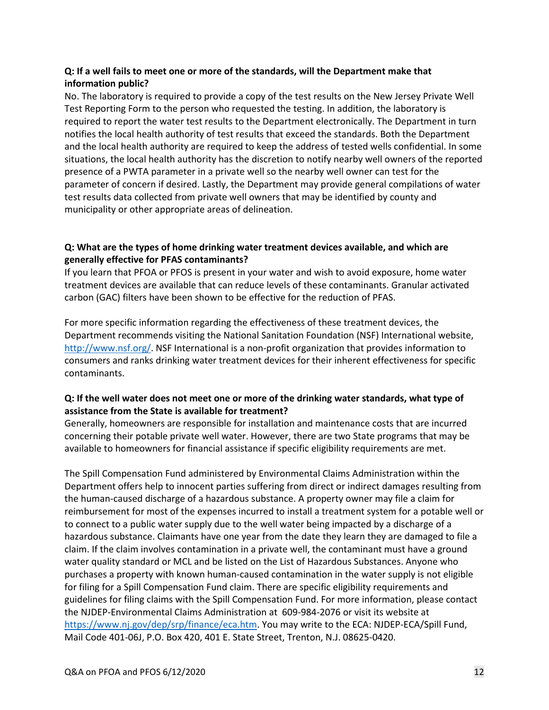## **Q: If a well fails to meet one or more of the standards, will the Department make that information public?**

No. The laboratory is required to provide a copy of the test results on the New Jersey Private Well Test Reporting Form to the person who requested the testing. In addition, the laboratory is required to report the water test results to the Department electronically. The Department in turn notifies the local health authority of test results that exceed the standards. Both the Department and the local health authority are required to keep the address of tested wells confidential. In some situations, the local health authority has the discretion to notify nearby well owners of the reported presence of a PWTA parameter in a private well so the nearby well owner can test for the parameter of concern if desired. Lastly, the Department may provide general compilations of water test results data collected from private well owners that may be identified by county and municipality or other appropriate areas of delineation.

## **Q: What are the types of home drinking water treatment devices available, and which are generally effective for PFAS contaminants?**

If you learn that PFOA or PFOS is present in your water and wish to avoid exposure, home water treatment devices are available that can reduce levels of these contaminants. Granular activated carbon (GAC) filters have been shown to be effective for the reduction of PFAS.

For more specific information regarding the effectiveness of these treatment devices, the Department recommends visiting the National Sanitation Foundation (NSF) International website, [http://www.nsf.org/.](http://www.nsf.org/) NSF International is a non-profit organization that provides information to consumers and ranks drinking water treatment devices for their inherent effectiveness for specific contaminants.

## **Q: If the well water does not meet one or more of the drinking water standards, what type of assistance from the State is available for treatment?**

Generally, homeowners are responsible for installation and maintenance costs that are incurred concerning their potable private well water. However, there are two State programs that may be available to homeowners for financial assistance if specific eligibility requirements are met.

The Spill Compensation Fund administered by Environmental Claims Administration within the Department offers help to innocent parties suffering from direct or indirect damages resulting from the human-caused discharge of a hazardous substance. A property owner may file a claim for reimbursement for most of the expenses incurred to install a treatment system for a potable well or to connect to a public water supply due to the well water being impacted by a discharge of a hazardous substance. Claimants have one year from the date they learn they are damaged to file a claim. If the claim involves contamination in a private well, the contaminant must have a ground water quality standard or MCL and be listed on the List of Hazardous Substances. Anyone who purchases a property with known human-caused contamination in the water supply is not eligible for filing for a Spill Compensation Fund claim. There are specific eligibility requirements and guidelines for filing claims with the Spill Compensation Fund. For more information, please contact the NJDEP-Environmental Claims Administration at 609-984-2076 or visit its website at [https://www.nj.gov/dep/srp/finance/eca.htm.](https://www.nj.gov/dep/srp/finance/eca.htm) You may write to the ECA: NJDEP-ECA/Spill Fund, Mail Code 401-06J, P.O. Box 420, 401 E. State Street, Trenton, N.J. 08625-0420.